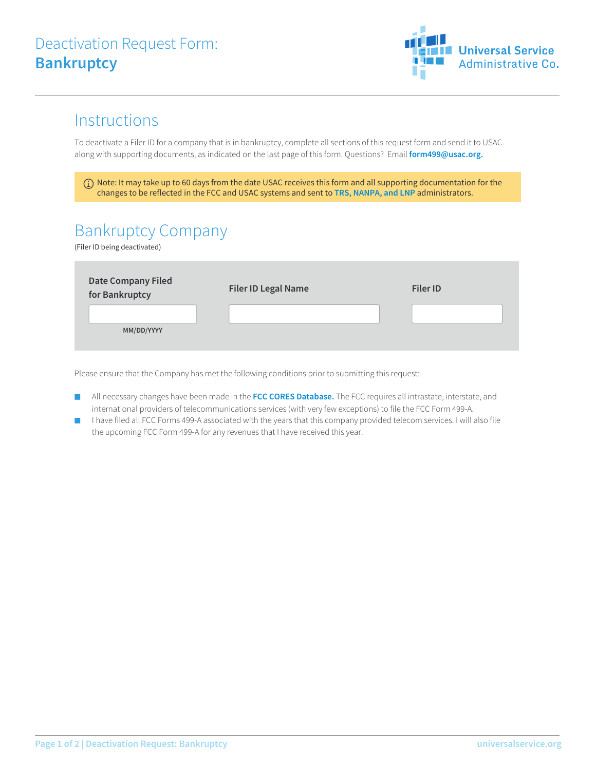

## **Instructions**

To deactivate a Filer ID for a company that is in bankruptcy, complete all sections of this request form and send it to USAC along with supporting documents, as indicated on the last page of this form. Questions? Email **form499@usac.org.**

 Note: It may take up to 60 days from the date USAC receives this form and all supporting documentation for the changes to be reflected in the FCC and USAC systems and sent to **TRS, NANPA, and LNP** administrators.

## Bankruptcy Company

(Filer ID being deactivated)

| <b>Date Company Filed</b><br>for Bankruptcy | <b>Filer ID Legal Name</b> | <b>Filer ID</b> |
|---------------------------------------------|----------------------------|-----------------|
| MM/DD/YYYY                                  |                            |                 |

Please ensure that the Company has met the following conditions prior to submitting this request:

- All necessary changes have been made in the **FCC CORES Database.** The FCC requires all intrastate, interstate, and international providers of telecommunications services (with very few exceptions) to file the FCC Form 499-A.
- I have filed all FCC Forms 499-A associated with the years that this company provided telecom services. I will also file the upcoming FCC Form 499-A for any revenues that I have received this year.